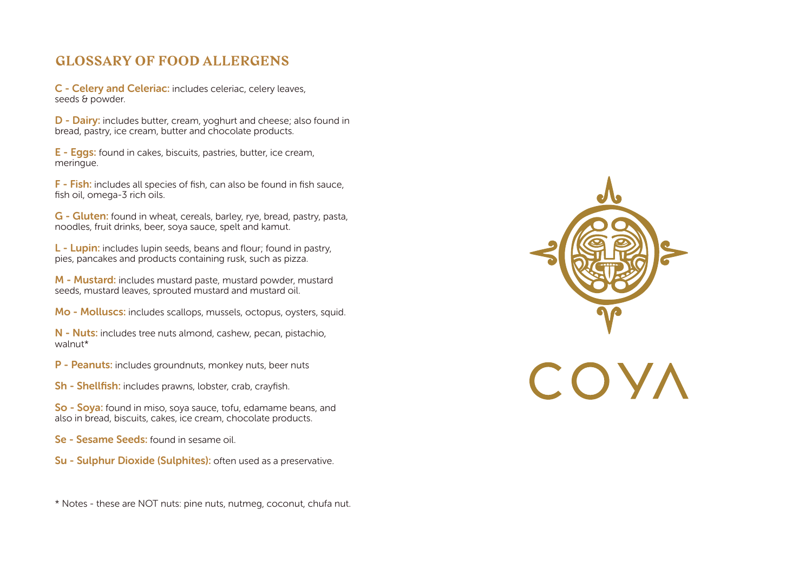# **GLOSSARY OF FOOD ALLERGENS**

C - Celery and Celeriac: includes celeriac, celery leaves, seeds & powder.

D - Dairy: includes butter, cream, yoghurt and cheese; also found in bread, pastry, ice cream, butter and chocolate products.

E - Eggs: found in cakes, biscuits, pastries, butter, ice cream, meringue.

F - Fish: includes all species of fish, can also be found in fish sauce, fish oil, omega-3 rich oils.

G - Gluten: found in wheat, cereals, barley, rye, bread, pastry, pasta, noodles, fruit drinks, beer, soya sauce, spelt and kamut.

L - Lupin: includes lupin seeds, beans and flour; found in pastry, pies, pancakes and products containing rusk, such as pizza.

M - Mustard: includes mustard paste, mustard powder, mustard seeds, mustard leaves, sprouted mustard and mustard oil.

Mo - Molluscs: includes scallops, mussels, octopus, oysters, squid.

N - Nuts: includes tree nuts almond, cashew, pecan, pistachio, walnut\*

P - Peanuts: includes groundnuts, monkey nuts, beer nuts

Sh - Shellfish: includes prawns, lobster, crab, crayfish.

So - Soya: found in miso, soya sauce, tofu, edamame beans, and also in bread, biscuits, cakes, ice cream, chocolate products.

Se - Sesame Seeds: found in sesame oil.

Su - Sulphur Dioxide (Sulphites): often used as a preservative.

\* Notes - these are NOT nuts: pine nuts, nutmeg, coconut, chufa nut.

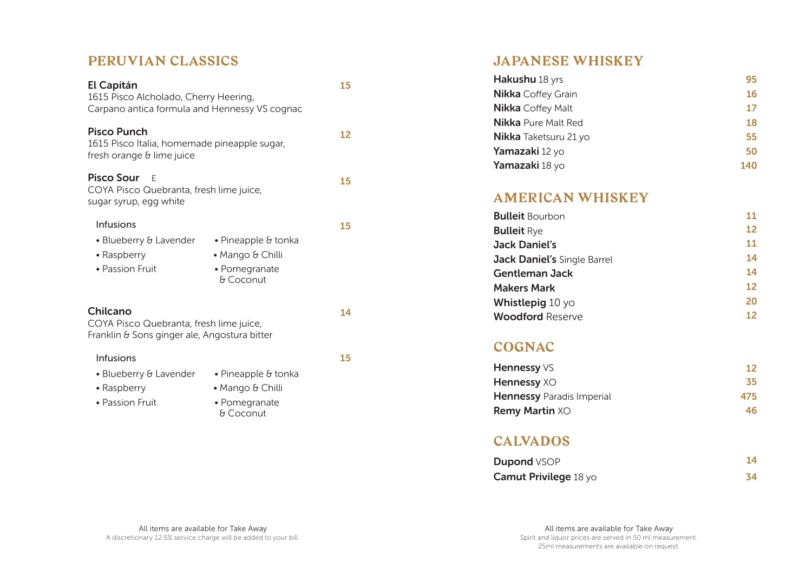# **PERUVIAN CLASSICS**

| El Capitán<br>1615 Pisco Alcholado, Cherry Heering,<br>Carpano antica formula and Hennessy VS cognac |                                                                               | 15 |
|------------------------------------------------------------------------------------------------------|-------------------------------------------------------------------------------|----|
| <b>Pisco Punch</b><br>1615 Pisco Italia, homemade pineapple sugar,<br>fresh orange & lime juice      |                                                                               | 12 |
| Pisco Sour<br>F<br>COYA Pisco Quebranta, fresh lime juice,<br>sugar syrup, egg white                 |                                                                               | 15 |
| Infusions<br>• Blueberry & Lavender<br>• Raspberry<br>• Passion Fruit                                | $\bullet$ Pineapple & tonka<br>• Mango & Chilli<br>• Pomegranate<br>& Coconut | 15 |
| Chilcano<br>COYA Pisco Quebranta, fresh lime juice,<br>Franklin & Sons ginger ale, Angostura bitter  |                                                                               | 14 |
| Infusions<br>• Blueberry & Lavender<br>• Raspberry<br>• Passion Fruit                                | • Pineapple $\theta$ tonka<br>• Mango & Chilli<br>• Pomegranate<br>& Coconut  | 15 |

# **JAPANESE WHISKEY**

| Hakushu 18 yrs             | 95  |
|----------------------------|-----|
| <b>Nikka Coffey Grain</b>  | 16  |
| <b>Nikka</b> Coffey Malt   | 17  |
| <b>Nikka</b> Pure Malt Red | 18  |
| Nikka Taketsuru 21 yo      | 55  |
| Yamazaki 12 yo             | 50  |
| Yamazaki 18 yo             | 140 |

## **AMERICAN WHISKEY**

| <b>Bulleit</b> Bourbon             | 11 |
|------------------------------------|----|
| <b>Bulleit Rye</b>                 | 12 |
| <b>Jack Daniel's</b>               | 11 |
| <b>Jack Daniel's Single Barrel</b> | 14 |
| Gentleman Jack                     | 14 |
| <b>Makers Mark</b>                 | 12 |
| <b>Whistlepig</b> $10 \text{ y}$   | 20 |
| <b>Woodford Reserve</b>            | 12 |

# **COGNAC**

| Hennessy VS                      | 12 <sup>°</sup> |
|----------------------------------|-----------------|
| Hennessy XO                      | 35.             |
| <b>Hennessy Paradis Imperial</b> | 475             |
| <b>Remy Martin XO</b>            | 46.             |

# **CALVADOS**

| <b>Dupond VSOP</b>           | 14 |
|------------------------------|----|
| <b>Camut Privilege 18 yo</b> | 34 |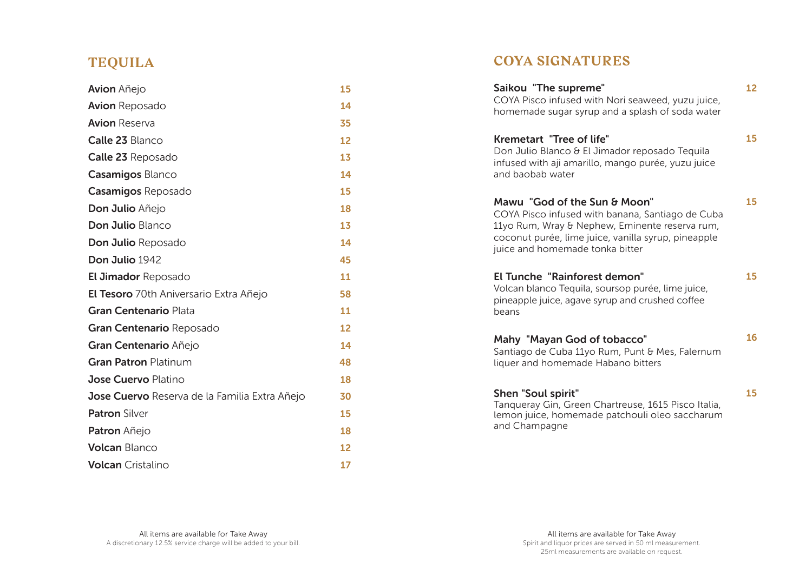# **TEQUILA**

| <b>Avion</b> Añejo                            | 15 |
|-----------------------------------------------|----|
| <b>Avion</b> Reposado                         | 14 |
| <b>Avion</b> Reserva                          | 35 |
| <b>Calle 23 Blanco</b>                        | 12 |
| Calle 23 Reposado                             | 13 |
| <b>Casamigos Blanco</b>                       | 14 |
| <b>Casamigos Reposado</b>                     | 15 |
| Don Julio Añejo                               | 18 |
| <b>Don Julio Blanco</b>                       | 13 |
| <b>Don Julio Reposado</b>                     | 14 |
| Don Julio 1942                                | 45 |
| <b>El Jimador Reposado</b>                    | 11 |
| <b>El Tesoro</b> 70th Aniversario Extra Añejo | 58 |
| <b>Gran Centenario Plata</b>                  | 11 |
| Gran Centenario Reposado                      | 12 |
| Gran Centenario Añejo                         | 14 |
| <b>Gran Patron Platinum</b>                   | 48 |
| <b>Jose Cuervo</b> Platino                    | 18 |
| Jose Cuervo Reserva de la Familia Extra Añejo | 30 |
| <b>Patron Silver</b>                          | 15 |
| <b>Patron</b> Añejo                           | 18 |
| <b>Volcan Blanco</b>                          | 12 |
| <b>Volcan</b> Cristalino                      | 17 |

# **COYA SIGNATURES**

| Saikou "The supreme"<br>COYA Pisco infused with Nori seaweed, yuzu juice,<br>homemade sugar syrup and a splash of soda water                                                                                                 | 12 |
|------------------------------------------------------------------------------------------------------------------------------------------------------------------------------------------------------------------------------|----|
| <b>Kremetart "Tree of life"</b><br>Don Julio Blanco & El Jimador reposado Tequila<br>infused with aji amarillo, mango purée, yuzu juice<br>and baobab water                                                                  | 15 |
| Mawu "God of the Sun & Moon"<br>COYA Pisco infused with banana, Santiago de Cuba<br>11yo Rum, Wray & Nephew, Eminente reserva rum,<br>coconut purée, lime juice, vanilla syrup, pineapple<br>juice and homemade tonka bitter | 15 |
| El Tunche "Rainforest demon"<br>Volcan blanco Tequila, soursop purée, lime juice,<br>pineapple juice, agave syrup and crushed coffee<br>beans                                                                                | 15 |
| Mahy "Mayan God of tobacco"<br>Santiago de Cuba 11yo Rum, Punt & Mes, Falernum<br>liquer and homemade Habano bitters                                                                                                         | 16 |
| <b>Shen "Soul spirit"</b><br>Tanqueray Gin, Green Chartreuse, 1615 Pisco Italia,<br>lemon juice, homemade patchouli oleo saccharum<br>and Champagne                                                                          | 15 |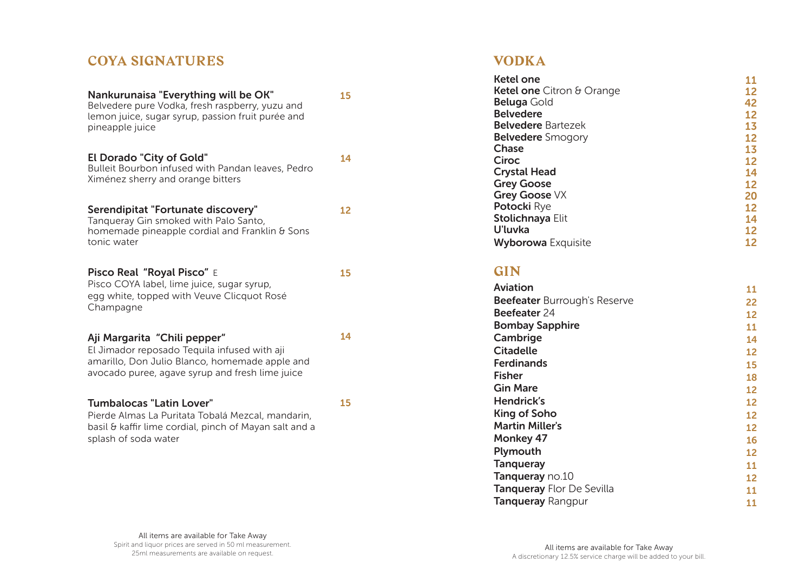# **COYA SIGNATURES**

| Nankurunaisa "Everything will be OK"<br>Belvedere pure Vodka, fresh raspberry, yuzu and<br>lemon juice, sugar syrup, passion fruit purée and<br>pineapple juice                   | 15 |
|-----------------------------------------------------------------------------------------------------------------------------------------------------------------------------------|----|
| <b>El Dorado "City of Gold"</b><br>Bulleit Bourbon infused with Pandan leaves, Pedro<br>Ximénez sherry and orange bitters                                                         | 14 |
| Serendipitat "Fortunate discovery"<br>Tanqueray Gin smoked with Palo Santo,<br>homemade pineapple cordial and Franklin & Sons<br>tonic water                                      | 12 |
| Pisco Real "Royal Pisco" E<br>Pisco COYA label, lime juice, sugar syrup,<br>egg white, topped with Veuve Clicquot Rosé<br>Champagne                                               | 15 |
| Aji Margarita "Chili pepper"<br>El Jimador reposado Tequila infused with aji<br>amarillo, Don Julio Blanco, homemade apple and<br>avocado puree, agave syrup and fresh lime juice | 14 |
| Tumbalocas "Latin Lover"<br>Pierde Almas La Puritata Tobalá Mezcal, mandarin,<br>basil & kaffir lime cordial, pinch of Mayan salt and a<br>splash of soda water                   | 15 |

# **VODKA**

| Ketel one                        | 11 |
|----------------------------------|----|
| <b>Ketel one</b> Citron & Orange | 12 |
| <b>Beluga</b> Gold               | 42 |
| <b>Belvedere</b>                 | 12 |
| <b>Belvedere</b> Bartezek        | 13 |
| <b>Belvedere</b> Smogory         | 12 |
| Chase                            | 13 |
| Ciroc                            | 12 |
| <b>Crystal Head</b>              | 14 |
| <b>Grey Goose</b>                | 12 |
| Grey Goose VX                    | 20 |
| Potocki Rye                      | 12 |
| Stolichnaya Elit                 | 14 |
| U'luvka                          | 12 |
| <b>Wyborowa</b> Exquisite        | 12 |

### **GIN**

| Aviation                            | 11 |
|-------------------------------------|----|
| <b>Beefeater</b> Burrough's Reserve | 22 |
| <b>Beefeater</b> 24                 | 12 |
| <b>Bombay Sapphire</b>              | 11 |
| Cambrige                            | 14 |
| <b>Citadelle</b>                    | 12 |
| <b>Ferdinands</b>                   | 15 |
| <b>Fisher</b>                       | 18 |
| <b>Gin Mare</b>                     | 12 |
| Hendrick's                          | 12 |
| <b>King of Soho</b>                 | 12 |
| <b>Martin Miller's</b>              | 12 |
| <b>Monkey 47</b>                    | 16 |
| Plymouth                            | 12 |
| <b>Tanqueray</b>                    | 11 |
| Tanqueray no.10                     | 12 |
| <b>Tanqueray Flor De Sevilla</b>    | 11 |
| <b>Tanqueray Rangpur</b>            | 11 |
|                                     |    |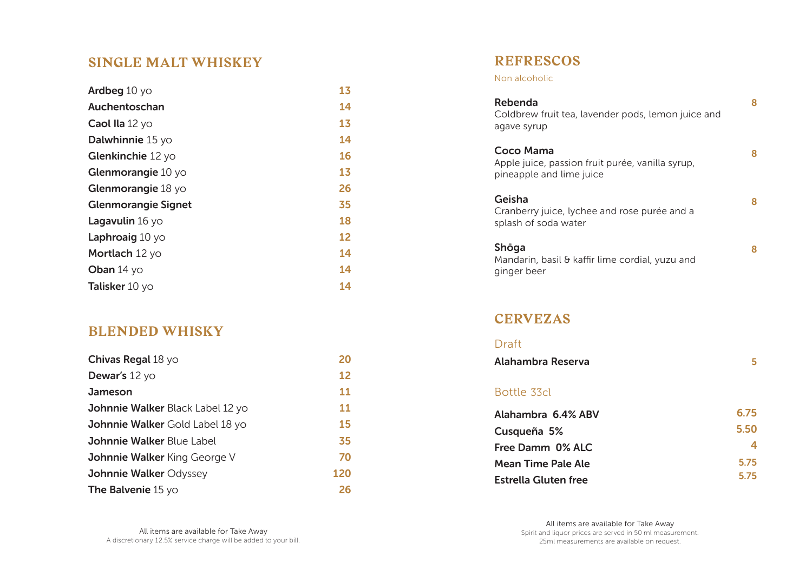## **SINGLE MALT WHISKEY**

| Ardbeg 10 yo                     | 13        |
|----------------------------------|-----------|
| Auchentoschan                    | 14        |
| <b>Caol Ila</b> $12$ yo          | 13        |
| <b>Dalwhinnie</b> 15 yo          | 14        |
| Glenkinchie 12 yo                | <b>16</b> |
| Glenmorangie 10 yo               | 13        |
| Glenmorangie 18 yo               | 26        |
| <b>Glenmorangie Signet</b>       | 35        |
| <b>Lagavulin</b> $16$ yo         | 18        |
| <b>Laphroaig</b> $10 \text{ yo}$ | 12        |
| Mortlach 12 yo                   | 14        |
| <b>Oban</b> $14$ yo              | 14        |
| <b>Talisker</b> $10 \text{ y}$ o | 14        |

## **BLENDED WHISKY**

| Chivas Regal 18 yo                      | 20  |
|-----------------------------------------|-----|
| <b>Dewar's 12 yo</b>                    | 12  |
| Jameson                                 | 11  |
| <b>Johnnie Walker Black Label 12 yo</b> | 11  |
| Johnnie Walker Gold Label 18 yo         | 15  |
| <b>Johnnie Walker Blue Label</b>        | 35  |
| <b>Johnnie Walker King George V</b>     | 70  |
| <b>Johnnie Walker Odyssey</b>           | 120 |
| <b>The Balvenie 15 yo</b>               | 26  |

## **REFRESCOS**

Non alcoholic

| Rebenda<br>Coldbrew fruit tea, lavender pods, lemon juice and<br>agave syrup              | 8 |
|-------------------------------------------------------------------------------------------|---|
| Coco Mama<br>Apple juice, passion fruit purée, vanilla syrup,<br>pineapple and lime juice | 8 |
| Geisha<br>Cranberry juice, lychee and rose purée and a<br>splash of soda water            | 8 |
| Shōga<br>Mandarin, basil & kaffir lime cordial, yuzu and<br>ginger beer                   | 8 |
| <b>CERVEZAS</b>                                                                           |   |
| Draft                                                                                     |   |
| Alahambra Reserva                                                                         | 5 |

#### Draft

| Alahambra Reserva |  |
|-------------------|--|
|                   |  |

### Bottle 33cl

| Alahambra 6.4% ABV          | 6.75 |
|-----------------------------|------|
| Cusqueña 5%                 | 5.50 |
| Free Damm 0% ALC            |      |
| Mean Time Pale Ale          | 5.75 |
| <b>Estrella Gluten free</b> | 5.75 |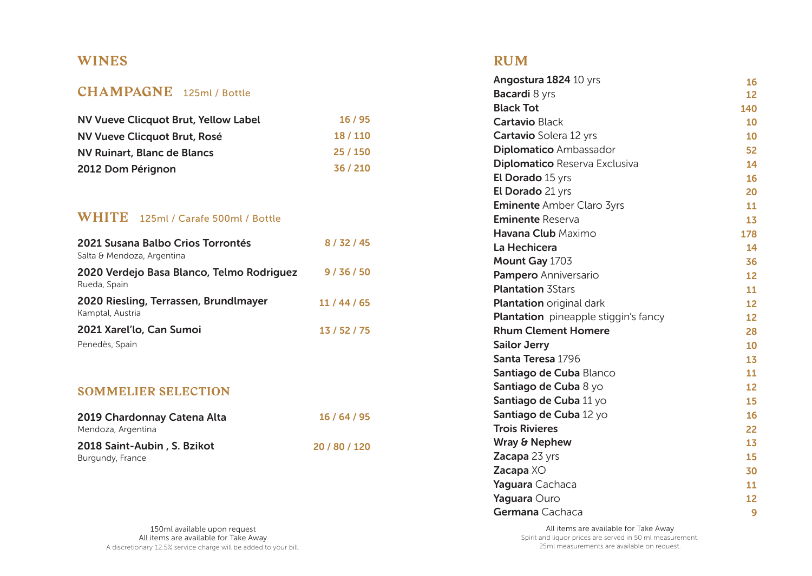### **WINES**

# **CHAMPAGNE** 125ml / Bottle

| NV Vueve Clicquot Brut, Yellow Label | 16/95    |
|--------------------------------------|----------|
| NV Vueve Clicquot Brut, Rosé         | 18/110   |
| NV Ruinart, Blanc de Blancs          | 25/150   |
| 2012 Dom Pérignon                    | 36 / 210 |

### **WHITE** 125ml / Carafe 500ml / Bottle

| 2021 Susana Balbo Crios Torrontés<br>Salta & Mendoza, Argentina | 8/32/45      |
|-----------------------------------------------------------------|--------------|
| 2020 Verdejo Basa Blanco, Telmo Rodriguez<br>Rueda, Spain       | 9/36/50      |
| 2020 Riesling, Terrassen, Brundlmayer<br>Kamptal, Austria       | 11/44/65     |
| 2021 Xarel'lo, Can Sumoi                                        | 13 / 52 / 75 |
| Penedès, Spain                                                  |              |

#### **SOMMELIER SELECTION**

| 2019 Chardonnay Catena Alta | 16/64/95      |
|-----------------------------|---------------|
| Mendoza, Argentina          |               |
| 2018 Saint-Aubin, S. Bzikot | 20 / 80 / 120 |
| Burgundy, France            |               |

#### 150ml available upon request All items are available for Take Away A discretionary 12.5% service charge will be added to your bill.

### **RUM**

| Angostura 1824 10 yrs                       | 16              |
|---------------------------------------------|-----------------|
| Bacardi 8 yrs                               | 12              |
| <b>Black Tot</b>                            | 140             |
| <b>Cartavio Black</b>                       | 10              |
| Cartavio Solera 12 yrs                      | 10              |
| <b>Diplomatico Ambassador</b>               | 52              |
| Diplomatico Reserva Exclusiva               | 14              |
| <b>El Dorado</b> 15 yrs                     | 16              |
| El Dorado 21 yrs                            | 20              |
| <b>Eminente</b> Amber Claro 3yrs            | 11              |
| <b>Eminente Reserva</b>                     | 13              |
| Havana Club Maximo                          | 178             |
| La Hechicera                                | 14              |
| Mount Gay 1703                              | 36              |
| Pampero Anniversario                        | 12              |
| <b>Plantation 3Stars</b>                    | 11              |
| <b>Plantation</b> original dark             | 12              |
| <b>Plantation</b> pineapple stiggin's fancy | 12              |
| <b>Rhum Clement Homere</b>                  | 28              |
| <b>Sailor Jerry</b>                         | 10              |
| Santa Teresa 1796                           | 13              |
| Santiago de Cuba Blanco                     | 11              |
| Santiago de Cuba 8 yo                       | 12              |
| Santiago de Cuba 11 yo                      | 15              |
| Santiago de Cuba 12 yo                      | 16              |
| <b>Trois Rivieres</b>                       | 22              |
| Wray & Nephew                               | 13              |
| Zacapa 23 yrs                               | 15              |
| Zacapa XO                                   | 30              |
| Yaguara Cachaca                             | 11              |
| Yaquara Ouro                                | 12 <sup>2</sup> |
| Germana Cachaca                             | 9               |

All items are available for Take Away Spirit and liquor prices are served in 50 ml measurement. 25ml measurements are available on request.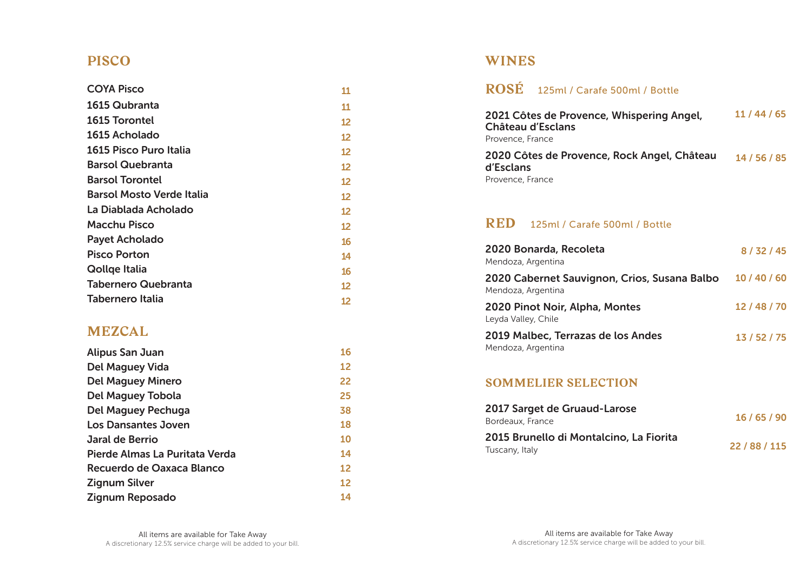# **PISCO**

| <b>COYA Pisco</b>         | 11                |
|---------------------------|-------------------|
| 1615 Qubranta             | 11                |
| 1615 Torontel             | 12                |
| 1615 Acholado             | $12 \overline{ }$ |
| 1615 Pisco Puro Italia    | 12                |
| Barsol Quebranta          | 12                |
| <b>Barsol Torontel</b>    | 12                |
| Barsol Mosto Verde Italia | $12 \overline{ }$ |
| La Diablada Acholado      | 12                |
| Macchu Pisco              | 12                |
| Payet Acholado            | 16                |
| <b>Pisco Porton</b>       | 14                |
| <b>Qollge Italia</b>      | 16                |
| Tabernero Quebranta       | 12                |
| Tabernero Italia          | 12                |

## **MEZCAL**

| <b>Alipus San Juan</b>         | 16 |
|--------------------------------|----|
| <b>Del Maguey Vida</b>         | 12 |
| <b>Del Maguey Minero</b>       | 22 |
| Del Maguey Tobola              | 25 |
| Del Maguey Pechuga             | 38 |
| Los Dansantes Joven            | 18 |
| Jaral de Berrio                | 10 |
| Pierde Almas La Puritata Verda | 14 |
| Recuerdo de Oaxaca Blanco      | 12 |
| <b>Zignum Silver</b>           | 12 |
| Zignum Reposado                | 14 |

### **WINES**

|                                       | ROSÉ 125ml / Carafe 500ml / Bottle          |              |
|---------------------------------------|---------------------------------------------|--------------|
| Château d'Esclans<br>Provence, France | 2021 Côtes de Provence, Whispering Angel,   | 11/44/65     |
| d'Esclans<br>Provence, France         | 2020 Côtes de Provence, Rock Angel, Château | 14 / 56 / 85 |

### **RED** 125ml / Carafe 500ml / Bottle

| 2020 Bonarda, Recoleta<br>Mendoza, Argentina                       | 8/32/45  |
|--------------------------------------------------------------------|----------|
| 2020 Cabernet Sauvignon, Crios, Susana Balbo<br>Mendoza, Argentina | 10/40/60 |
| 2020 Pinot Noir, Alpha, Montes<br>Leyda Valley, Chile              | 12/48/70 |
| 2019 Malbec, Terrazas de los Andes<br>Mendoza, Argentina           | 13/52/75 |

### **SOMMELIER SELECTION**

| 2017 Sarget de Gruaud-Larose<br>Bordeaux, France          | 16/65/90      |
|-----------------------------------------------------------|---------------|
| 2015 Brunello di Montalcino, La Fiorita<br>Tuscany, Italy | 22 / 88 / 115 |